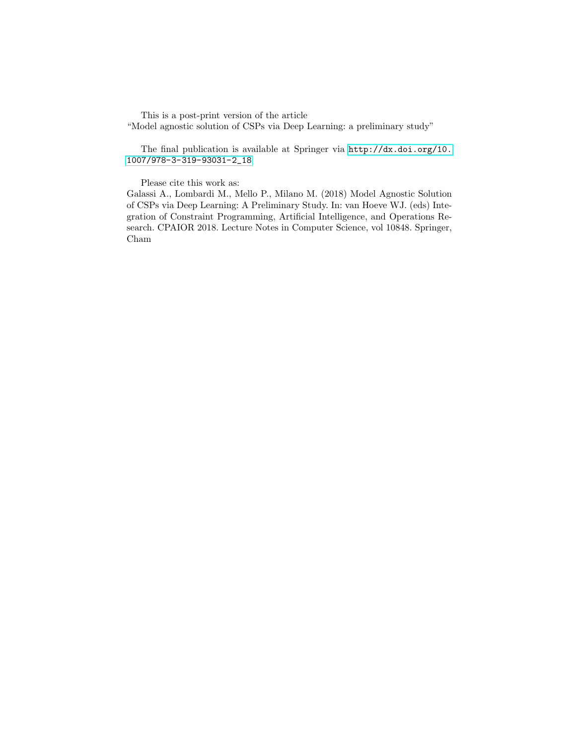This is a post-print version of the article "Model agnostic solution of CSPs via Deep Learning: a preliminary study"

The final publication is available at Springer via [http://dx.doi.org/10.](http://dx.doi.org/10.1007/978-3-319-93031-2_18) [1007/978-3-319-93031-2\\_18](http://dx.doi.org/10.1007/978-3-319-93031-2_18)

Please cite this work as:

Galassi A., Lombardi M., Mello P., Milano M. (2018) Model Agnostic Solution of CSPs via Deep Learning: A Preliminary Study. In: van Hoeve WJ. (eds) Integration of Constraint Programming, Artificial Intelligence, and Operations Research. CPAIOR 2018. Lecture Notes in Computer Science, vol 10848. Springer, Cham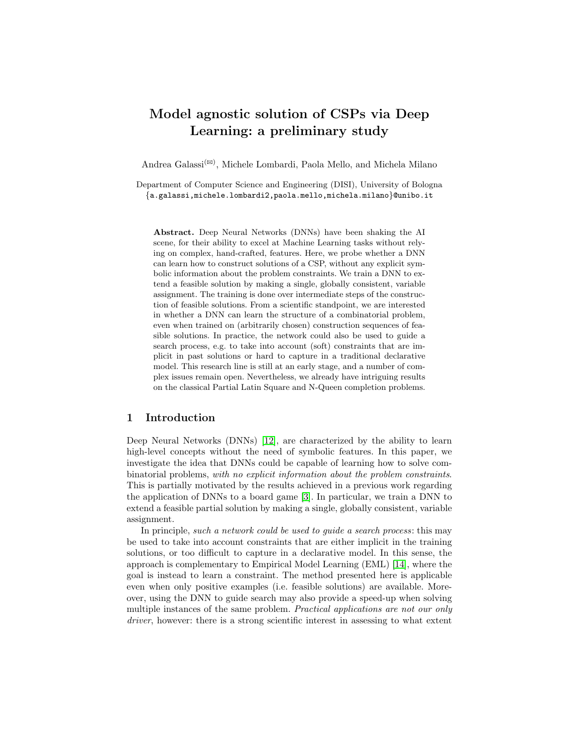# Model agnostic solution of CSPs via Deep Learning: a preliminary study

Andrea Galassi<sup>( $\boxtimes$ )</sup>, Michele Lombardi, Paola Mello, and Michela Milano

Department of Computer Science and Engineering (DISI), University of Bologna {a.galassi,michele.lombardi2,paola.mello,michela.milano}@unibo.it

Abstract. Deep Neural Networks (DNNs) have been shaking the AI scene, for their ability to excel at Machine Learning tasks without relying on complex, hand-crafted, features. Here, we probe whether a DNN can learn how to construct solutions of a CSP, without any explicit symbolic information about the problem constraints. We train a DNN to extend a feasible solution by making a single, globally consistent, variable assignment. The training is done over intermediate steps of the construction of feasible solutions. From a scientific standpoint, we are interested in whether a DNN can learn the structure of a combinatorial problem, even when trained on (arbitrarily chosen) construction sequences of feasible solutions. In practice, the network could also be used to guide a search process, e.g. to take into account (soft) constraints that are implicit in past solutions or hard to capture in a traditional declarative model. This research line is still at an early stage, and a number of complex issues remain open. Nevertheless, we already have intriguing results on the classical Partial Latin Square and N-Queen completion problems.

#### 1 Introduction

Deep Neural Networks (DNNs) [\[12\]](#page-9-0), are characterized by the ability to learn high-level concepts without the need of symbolic features. In this paper, we investigate the idea that DNNs could be capable of learning how to solve combinatorial problems, with no explicit information about the problem constraints. This is partially motivated by the results achieved in a previous work regarding the application of DNNs to a board game [\[3\]](#page-9-1). In particular, we train a DNN to extend a feasible partial solution by making a single, globally consistent, variable assignment.

In principle, such a network could be used to guide a search process: this may be used to take into account constraints that are either implicit in the training solutions, or too difficult to capture in a declarative model. In this sense, the approach is complementary to Empirical Model Learning (EML) [\[14\]](#page-9-2), where the goal is instead to learn a constraint. The method presented here is applicable even when only positive examples (i.e. feasible solutions) are available. Moreover, using the DNN to guide search may also provide a speed-up when solving multiple instances of the same problem. Practical applications are not our only driver, however: there is a strong scientific interest in assessing to what extent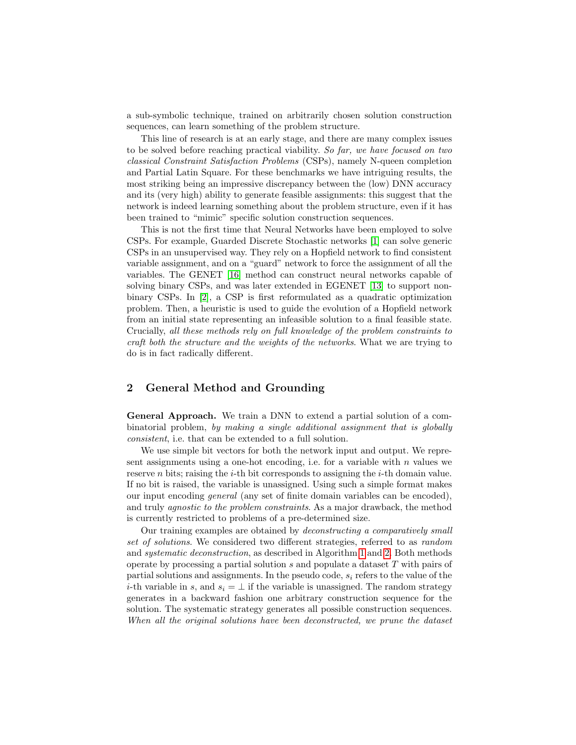a sub-symbolic technique, trained on arbitrarily chosen solution construction sequences, can learn something of the problem structure.

This line of research is at an early stage, and there are many complex issues to be solved before reaching practical viability. So far, we have focused on two classical Constraint Satisfaction Problems (CSPs), namely N-queen completion and Partial Latin Square. For these benchmarks we have intriguing results, the most striking being an impressive discrepancy between the (low) DNN accuracy and its (very high) ability to generate feasible assignments: this suggest that the network is indeed learning something about the problem structure, even if it has been trained to "mimic" specific solution construction sequences.

This is not the first time that Neural Networks have been employed to solve CSPs. For example, Guarded Discrete Stochastic networks [\[1\]](#page-9-3) can solve generic CSPs in an unsupervised way. They rely on a Hopfield network to find consistent variable assignment, and on a "guard" network to force the assignment of all the variables. The GENET [\[16\]](#page-10-0) method can construct neural networks capable of solving binary CSPs, and was later extended in EGENET [\[13\]](#page-9-4) to support nonbinary CSPs. In [\[2\]](#page-9-5), a CSP is first reformulated as a quadratic optimization problem. Then, a heuristic is used to guide the evolution of a Hopfield network from an initial state representing an infeasible solution to a final feasible state. Crucially, all these methods rely on full knowledge of the problem constraints to craft both the structure and the weights of the networks. What we are trying to do is in fact radically different.

### 2 General Method and Grounding

General Approach. We train a DNN to extend a partial solution of a combinatorial problem, by making a single additional assignment that is globally consistent, i.e. that can be extended to a full solution.

We use simple bit vectors for both the network input and output. We represent assignments using a one-hot encoding, i.e. for a variable with  $n$  values we reserve *n* bits; raising the *i*-th bit corresponds to assigning the *i*-th domain value. If no bit is raised, the variable is unassigned. Using such a simple format makes our input encoding general (any set of finite domain variables can be encoded), and truly agnostic to the problem constraints. As a major drawback, the method is currently restricted to problems of a pre-determined size.

Our training examples are obtained by deconstructing a comparatively small set of solutions. We considered two different strategies, referred to as random and systematic deconstruction, as described in Algorithm [1](#page-3-0) and [2.](#page-3-1) Both methods operate by processing a partial solution  $s$  and populate a dataset  $T$  with pairs of partial solutions and assignments. In the pseudo code,  $s_i$  refers to the value of the *i*-th variable in s, and  $s_i = \perp$  if the variable is unassigned. The random strategy generates in a backward fashion one arbitrary construction sequence for the solution. The systematic strategy generates all possible construction sequences. When all the original solutions have been deconstructed, we prune the dataset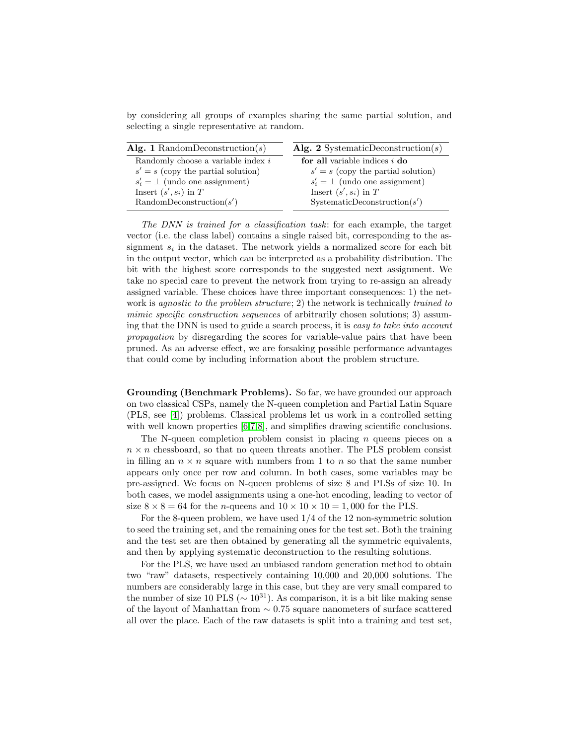by considering all groups of examples sharing the same partial solution, and selecting a single representative at random.

<span id="page-3-1"></span><span id="page-3-0"></span>

| Alg. 1 Random Deconstruction(s)      | Alg. 2 SystematicDeconstruction(s)   |
|--------------------------------------|--------------------------------------|
| Randomly choose a variable index $i$ | for all variable indices $i$ do      |
| $s' = s$ (copy the partial solution) | $s' = s$ (copy the partial solution) |
| $s_i' = \perp$ (undo one assignment) | $s_i' = \perp$ (undo one assignment) |
| Insert $(s', s_i)$ in T              | Insert $(s', s_i)$ in T              |
| RandomDeconstruction(s')             | SystematicDeconstruction(s')         |

The DNN is trained for a classification task: for each example, the target vector (i.e. the class label) contains a single raised bit, corresponding to the assignment  $s_i$  in the dataset. The network yields a normalized score for each bit in the output vector, which can be interpreted as a probability distribution. The bit with the highest score corresponds to the suggested next assignment. We take no special care to prevent the network from trying to re-assign an already assigned variable. These choices have three important consequences: 1) the network is agnostic to the problem structure; 2) the network is technically trained to mimic specific construction sequences of arbitrarily chosen solutions; 3) assuming that the DNN is used to guide a search process, it is easy to take into account propagation by disregarding the scores for variable-value pairs that have been pruned. As an adverse effect, we are forsaking possible performance advantages that could come by including information about the problem structure.

Grounding (Benchmark Problems). So far, we have grounded our approach on two classical CSPs, namely the N-queen completion and Partial Latin Square (PLS, see [\[4\]](#page-9-6)) problems. Classical problems let us work in a controlled setting with well known properties  $(6,7,8)$  $(6,7,8)$  $(6,7,8)$ , and simplifies drawing scientific conclusions.

The N-queen completion problem consist in placing  $n$  queens pieces on a  $n \times n$  chessboard, so that no queen threats another. The PLS problem consist in filling an  $n \times n$  square with numbers from 1 to n so that the same number appears only once per row and column. In both cases, some variables may be pre-assigned. We focus on N-queen problems of size 8 and PLSs of size 10. In both cases, we model assignments using a one-hot encoding, leading to vector of size  $8 \times 8 = 64$  for the *n*-queens and  $10 \times 10 \times 10 = 1,000$  for the PLS.

For the 8-queen problem, we have used  $1/4$  of the 12 non-symmetric solution to seed the training set, and the remaining ones for the test set. Both the training and the test set are then obtained by generating all the symmetric equivalents, and then by applying systematic deconstruction to the resulting solutions.

For the PLS, we have used an unbiased random generation method to obtain two "raw" datasets, respectively containing 10,000 and 20,000 solutions. The numbers are considerably large in this case, but they are very small compared to the number of size 10 PLS ( $\sim 10^{31}$ ). As comparison, it is a bit like making sense of the layout of Manhattan from ∼ 0.75 square nanometers of surface scattered all over the place. Each of the raw datasets is split into a training and test set,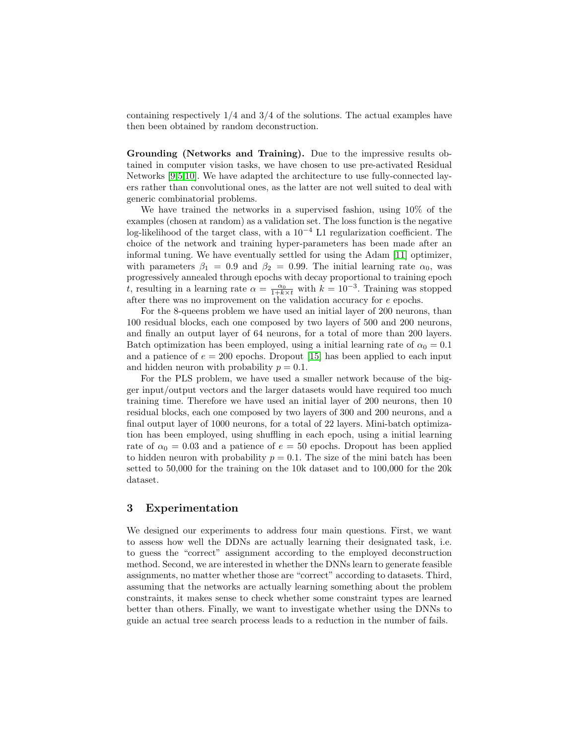containing respectively 1/4 and 3/4 of the solutions. The actual examples have then been obtained by random deconstruction.

Grounding (Networks and Training). Due to the impressive results obtained in computer vision tasks, we have chosen to use pre-activated Residual Networks [\[9](#page-9-10)[,5,](#page-9-11)[10\]](#page-9-12). We have adapted the architecture to use fully-connected layers rather than convolutional ones, as the latter are not well suited to deal with generic combinatorial problems.

We have trained the networks in a supervised fashion, using 10% of the examples (chosen at random) as a validation set. The loss function is the negative log-likelihood of the target class, with a 10−<sup>4</sup> L1 regularization coefficient. The choice of the network and training hyper-parameters has been made after an informal tuning. We have eventually settled for using the Adam [\[11\]](#page-9-13) optimizer, with parameters  $\beta_1 = 0.9$  and  $\beta_2 = 0.99$ . The initial learning rate  $\alpha_0$ , was progressively annealed through epochs with decay proportional to training epoch t, resulting in a learning rate  $\alpha = \frac{\alpha_0}{1+k \times t}$  with  $k = 10^{-3}$ . Training was stopped after there was no improvement on the validation accuracy for e epochs.

For the 8-queens problem we have used an initial layer of 200 neurons, than 100 residual blocks, each one composed by two layers of 500 and 200 neurons, and finally an output layer of 64 neurons, for a total of more than 200 layers. Batch optimization has been employed, using a initial learning rate of  $\alpha_0 = 0.1$ and a patience of  $e = 200$  epochs. Dropout [\[15\]](#page-9-14) has been applied to each input and hidden neuron with probability  $p = 0.1$ .

For the PLS problem, we have used a smaller network because of the bigger input/output vectors and the larger datasets would have required too much training time. Therefore we have used an initial layer of 200 neurons, then 10 residual blocks, each one composed by two layers of 300 and 200 neurons, and a final output layer of 1000 neurons, for a total of 22 layers. Mini-batch optimization has been employed, using shuffling in each epoch, using a initial learning rate of  $\alpha_0 = 0.03$  and a patience of  $e = 50$  epochs. Dropout has been applied to hidden neuron with probability  $p = 0.1$ . The size of the mini batch has been setted to 50,000 for the training on the 10k dataset and to 100,000 for the 20k dataset.

#### 3 Experimentation

We designed our experiments to address four main questions. First, we want to assess how well the DDNs are actually learning their designated task, i.e. to guess the "correct" assignment according to the employed deconstruction method. Second, we are interested in whether the DNNs learn to generate feasible assignments, no matter whether those are "correct" according to datasets. Third, assuming that the networks are actually learning something about the problem constraints, it makes sense to check whether some constraint types are learned better than others. Finally, we want to investigate whether using the DNNs to guide an actual tree search process leads to a reduction in the number of fails.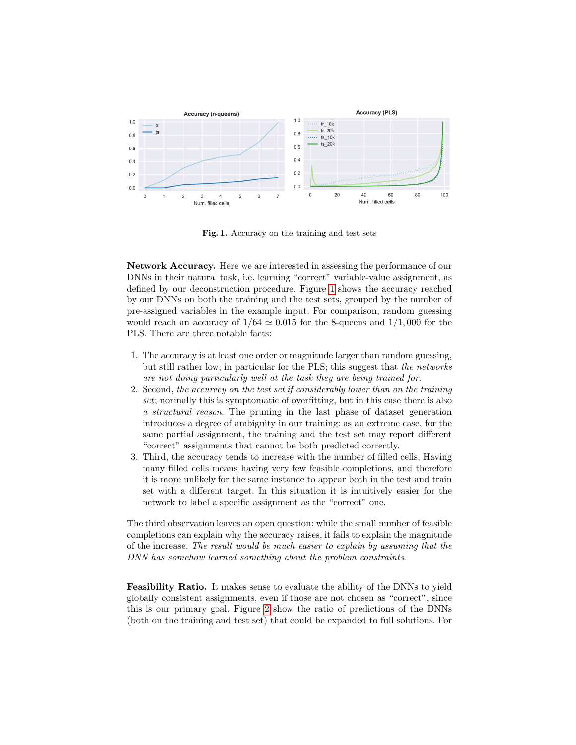

<span id="page-5-0"></span>Fig. 1. Accuracy on the training and test sets

Network Accuracy. Here we are interested in assessing the performance of our DNNs in their natural task, i.e. learning "correct" variable-value assignment, as defined by our deconstruction procedure. Figure [1](#page-5-0) shows the accuracy reached by our DNNs on both the training and the test sets, grouped by the number of pre-assigned variables in the example input. For comparison, random guessing would reach an accuracy of  $1/64 \simeq 0.015$  for the 8-queens and  $1/1,000$  for the PLS. There are three notable facts:

- 1. The accuracy is at least one order or magnitude larger than random guessing, but still rather low, in particular for the PLS; this suggest that the networks are not doing particularly well at the task they are being trained for.
- 2. Second, the accuracy on the test set if considerably lower than on the training set; normally this is symptomatic of overfitting, but in this case there is also a structural reason. The pruning in the last phase of dataset generation introduces a degree of ambiguity in our training: as an extreme case, for the same partial assignment, the training and the test set may report different "correct" assignments that cannot be both predicted correctly.
- 3. Third, the accuracy tends to increase with the number of filled cells. Having many filled cells means having very few feasible completions, and therefore it is more unlikely for the same instance to appear both in the test and train set with a different target. In this situation it is intuitively easier for the network to label a specific assignment as the "correct" one.

The third observation leaves an open question: while the small number of feasible completions can explain why the accuracy raises, it fails to explain the magnitude of the increase. The result would be much easier to explain by assuming that the DNN has somehow learned something about the problem constraints.

Feasibility Ratio. It makes sense to evaluate the ability of the DNNs to yield globally consistent assignments, even if those are not chosen as "correct", since this is our primary goal. Figure [2](#page-6-0) show the ratio of predictions of the DNNs (both on the training and test set) that could be expanded to full solutions. For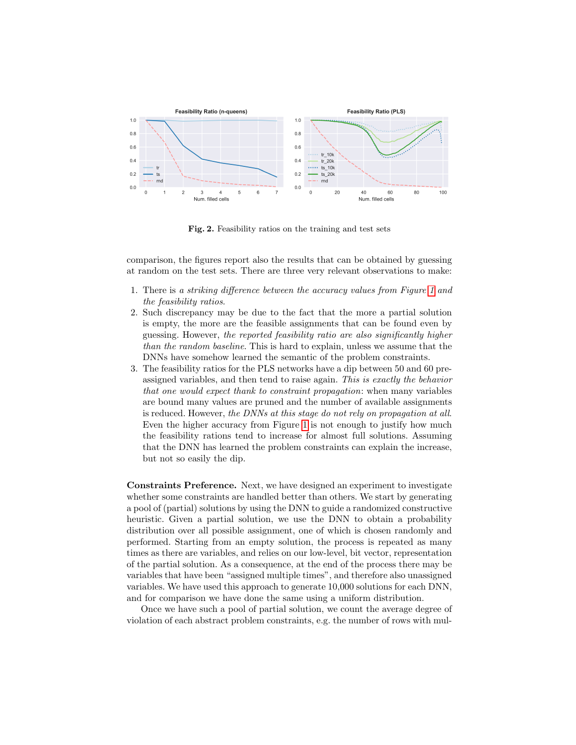

<span id="page-6-0"></span>Fig. 2. Feasibility ratios on the training and test sets

comparison, the figures report also the results that can be obtained by guessing at random on the test sets. There are three very relevant observations to make:

- 1. There is a striking difference between the accuracy values from Figure [1](#page-5-0) and the feasibility ratios.
- 2. Such discrepancy may be due to the fact that the more a partial solution is empty, the more are the feasible assignments that can be found even by guessing. However, the reported feasibility ratio are also significantly higher than the random baseline. This is hard to explain, unless we assume that the DNNs have somehow learned the semantic of the problem constraints.
- 3. The feasibility ratios for the PLS networks have a dip between 50 and 60 preassigned variables, and then tend to raise again. This is exactly the behavior that one would expect thank to constraint propagation: when many variables are bound many values are pruned and the number of available assignments is reduced. However, the DNNs at this stage do not rely on propagation at all. Even the higher accuracy from Figure [1](#page-5-0) is not enough to justify how much the feasibility rations tend to increase for almost full solutions. Assuming that the DNN has learned the problem constraints can explain the increase, but not so easily the dip.

Constraints Preference. Next, we have designed an experiment to investigate whether some constraints are handled better than others. We start by generating a pool of (partial) solutions by using the DNN to guide a randomized constructive heuristic. Given a partial solution, we use the DNN to obtain a probability distribution over all possible assignment, one of which is chosen randomly and performed. Starting from an empty solution, the process is repeated as many times as there are variables, and relies on our low-level, bit vector, representation of the partial solution. As a consequence, at the end of the process there may be variables that have been "assigned multiple times", and therefore also unassigned variables. We have used this approach to generate 10,000 solutions for each DNN, and for comparison we have done the same using a uniform distribution.

Once we have such a pool of partial solution, we count the average degree of violation of each abstract problem constraints, e.g. the number of rows with mul-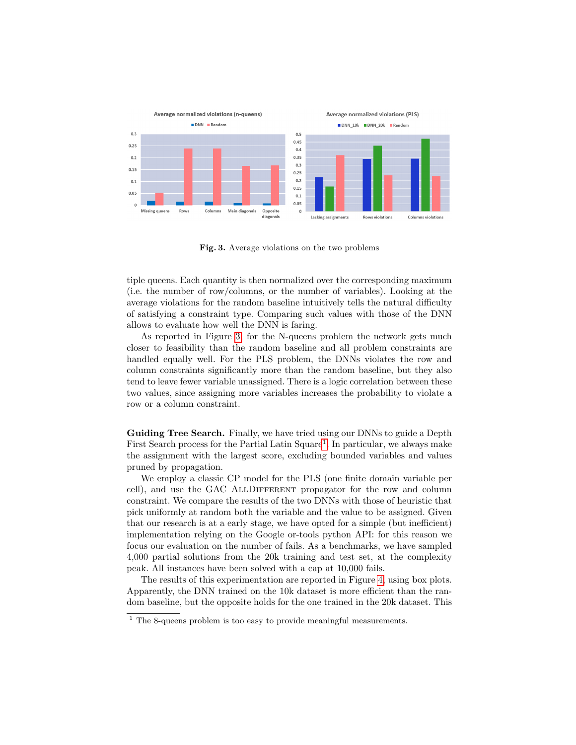

<span id="page-7-0"></span>Fig. 3. Average violations on the two problems

tiple queens. Each quantity is then normalized over the corresponding maximum (i.e. the number of row/columns, or the number of variables). Looking at the average violations for the random baseline intuitively tells the natural difficulty of satisfying a constraint type. Comparing such values with those of the DNN allows to evaluate how well the DNN is faring.

As reported in Figure [3,](#page-7-0) for the N-queens problem the network gets much closer to feasibility than the random baseline and all problem constraints are handled equally well. For the PLS problem, the DNNs violates the row and column constraints significantly more than the random baseline, but they also tend to leave fewer variable unassigned. There is a logic correlation between these two values, since assigning more variables increases the probability to violate a row or a column constraint.

Guiding Tree Search. Finally, we have tried using our DNNs to guide a Depth First Search process for the Partial Latin Square<sup>[1](#page-7-1)</sup>. In particular, we always make the assignment with the largest score, excluding bounded variables and values pruned by propagation.

We employ a classic CP model for the PLS (one finite domain variable per cell), and use the GAC AllDifferent propagator for the row and column constraint. We compare the results of the two DNNs with those of heuristic that pick uniformly at random both the variable and the value to be assigned. Given that our research is at a early stage, we have opted for a simple (but inefficient) implementation relying on the Google or-tools python API: for this reason we focus our evaluation on the number of fails. As a benchmarks, we have sampled 4,000 partial solutions from the 20k training and test set, at the complexity peak. All instances have been solved with a cap at 10,000 fails.

The results of this experimentation are reported in Figure [4,](#page-8-0) using box plots. Apparently, the DNN trained on the 10k dataset is more efficient than the random baseline, but the opposite holds for the one trained in the 20k dataset. This

<span id="page-7-1"></span> $^{\rm 1}$  The 8-queens problem is too easy to provide meaningful measurements.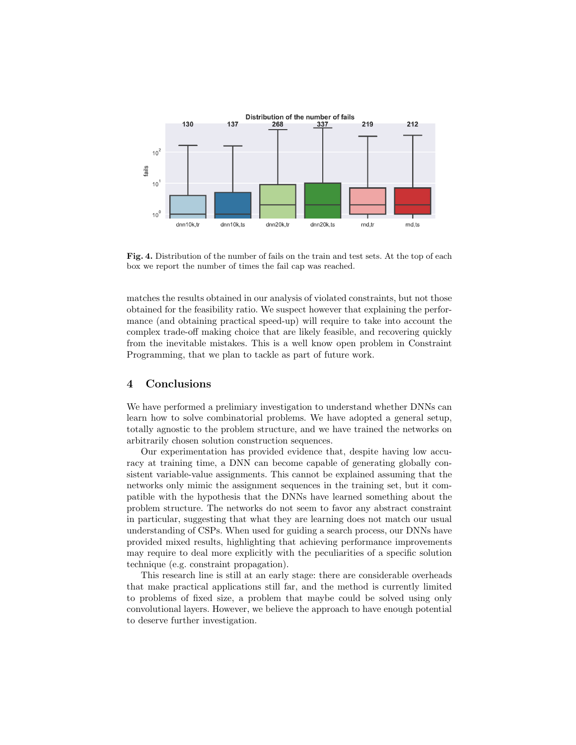

<span id="page-8-0"></span>Fig. 4. Distribution of the number of fails on the train and test sets. At the top of each box we report the number of times the fail cap was reached.

matches the results obtained in our analysis of violated constraints, but not those obtained for the feasibility ratio. We suspect however that explaining the performance (and obtaining practical speed-up) will require to take into account the complex trade-off making choice that are likely feasible, and recovering quickly from the inevitable mistakes. This is a well know open problem in Constraint Programming, that we plan to tackle as part of future work.

## 4 Conclusions

We have performed a prelimiary investigation to understand whether DNNs can learn how to solve combinatorial problems. We have adopted a general setup, totally agnostic to the problem structure, and we have trained the networks on arbitrarily chosen solution construction sequences.

Our experimentation has provided evidence that, despite having low accuracy at training time, a DNN can become capable of generating globally consistent variable-value assignments. This cannot be explained assuming that the networks only mimic the assignment sequences in the training set, but it compatible with the hypothesis that the DNNs have learned something about the problem structure. The networks do not seem to favor any abstract constraint in particular, suggesting that what they are learning does not match our usual understanding of CSPs. When used for guiding a search process, our DNNs have provided mixed results, highlighting that achieving performance improvements may require to deal more explicitly with the peculiarities of a specific solution technique (e.g. constraint propagation).

This research line is still at an early stage: there are considerable overheads that make practical applications still far, and the method is currently limited to problems of fixed size, a problem that maybe could be solved using only convolutional layers. However, we believe the approach to have enough potential to deserve further investigation.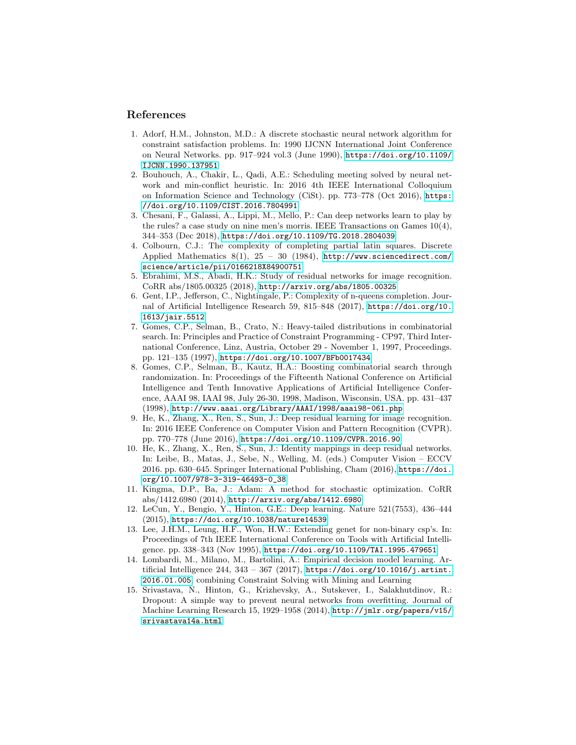#### References

- <span id="page-9-3"></span>1. Adorf, H.M., Johnston, M.D.: A discrete stochastic neural network algorithm for constraint satisfaction problems. In: 1990 IJCNN International Joint Conference on Neural Networks. pp. 917–924 vol.3 (June 1990), [https://doi.org/10.1109/](https://doi.org/10.1109/IJCNN.1990.137951) [IJCNN.1990.137951](https://doi.org/10.1109/IJCNN.1990.137951)
- <span id="page-9-5"></span>2. Bouhouch, A., Chakir, L., Qadi, A.E.: Scheduling meeting solved by neural network and min-conflict heuristic. In: 2016 4th IEEE International Colloquium on Information Science and Technology (CiSt). pp. 773–778 (Oct 2016), [https:](https://doi.org/10.1109/CIST.2016.7804991) [//doi.org/10.1109/CIST.2016.7804991](https://doi.org/10.1109/CIST.2016.7804991)
- <span id="page-9-1"></span>3. Chesani, F., Galassi, A., Lippi, M., Mello, P.: Can deep networks learn to play by the rules? a case study on nine men's morris. IEEE Transactions on Games 10(4), 344–353 (Dec 2018), <https://doi.org/10.1109/TG.2018.2804039>
- <span id="page-9-6"></span>4. Colbourn, C.J.: The complexity of completing partial latin squares. Discrete Applied Mathematics 8(1), 25 – 30 (1984), [http://www.sciencedirect.com/](http://www.sciencedirect.com/science/article/pii/0166218X84900751) [science/article/pii/0166218X84900751](http://www.sciencedirect.com/science/article/pii/0166218X84900751)
- <span id="page-9-11"></span>5. Ebrahimi, M.S., Abadi, H.K.: Study of residual networks for image recognition. CoRR abs/1805.00325 (2018), <http://arxiv.org/abs/1805.00325>
- <span id="page-9-7"></span>6. Gent, I.P., Jefferson, C., Nightingale, P.: Complexity of n-queens completion. Journal of Artificial Intelligence Research 59, 815–848 (2017), [https://doi.org/10.](https://doi.org/10.1613/jair.5512) [1613/jair.5512](https://doi.org/10.1613/jair.5512)
- <span id="page-9-8"></span>7. Gomes, C.P., Selman, B., Crato, N.: Heavy-tailed distributions in combinatorial search. In: Principles and Practice of Constraint Programming - CP97, Third International Conference, Linz, Austria, October 29 - November 1, 1997, Proceedings. pp. 121–135 (1997), <https://doi.org/10.1007/BFb0017434>
- <span id="page-9-9"></span>8. Gomes, C.P., Selman, B., Kautz, H.A.: Boosting combinatorial search through randomization. In: Proceedings of the Fifteenth National Conference on Artificial Intelligence and Tenth Innovative Applications of Artificial Intelligence Conference, AAAI 98, IAAI 98, July 26-30, 1998, Madison, Wisconsin, USA. pp. 431–437 (1998), <http://www.aaai.org/Library/AAAI/1998/aaai98-061.php>
- <span id="page-9-10"></span>9. He, K., Zhang, X., Ren, S., Sun, J.: Deep residual learning for image recognition. In: 2016 IEEE Conference on Computer Vision and Pattern Recognition (CVPR). pp. 770–778 (June 2016), <https://doi.org/10.1109/CVPR.2016.90>
- <span id="page-9-12"></span>10. He, K., Zhang, X., Ren, S., Sun, J.: Identity mappings in deep residual networks. In: Leibe, B., Matas, J., Sebe, N., Welling, M. (eds.) Computer Vision – ECCV 2016. pp. 630–645. Springer International Publishing, Cham (2016), [https://doi.](https://doi.org/10.1007/978-3-319-46493-0_38) [org/10.1007/978-3-319-46493-0\\_38](https://doi.org/10.1007/978-3-319-46493-0_38)
- <span id="page-9-13"></span>11. Kingma, D.P., Ba, J.: Adam: A method for stochastic optimization. CoRR abs/1412.6980 (2014), <http://arxiv.org/abs/1412.6980>
- <span id="page-9-0"></span>12. LeCun, Y., Bengio, Y., Hinton, G.E.: Deep learning. Nature 521(7553), 436–444 (2015), <https://doi.org/10.1038/nature14539>
- <span id="page-9-4"></span>13. Lee, J.H.M., Leung, H.F., Won, H.W.: Extending genet for non-binary csp's. In: Proceedings of 7th IEEE International Conference on Tools with Artificial Intelligence. pp. 338–343 (Nov 1995), <https://doi.org/10.1109/TAI.1995.479651>
- <span id="page-9-2"></span>14. Lombardi, M., Milano, M., Bartolini, A.: Empirical decision model learning. Artificial Intelligence 244, 343 – 367 (2017), [https://doi.org/10.1016/j.artint.](https://doi.org/10.1016/j.artint.2016.01.005) [2016.01.005](https://doi.org/10.1016/j.artint.2016.01.005), combining Constraint Solving with Mining and Learning
- <span id="page-9-14"></span>15. Srivastava, N., Hinton, G., Krizhevsky, A., Sutskever, I., Salakhutdinov, R.: Dropout: A simple way to prevent neural networks from overfitting. Journal of Machine Learning Research 15, 1929–1958 (2014), [http://jmlr.org/papers/v15/](http://jmlr.org/papers/v15/srivastava14a.html) [srivastava14a.html](http://jmlr.org/papers/v15/srivastava14a.html)